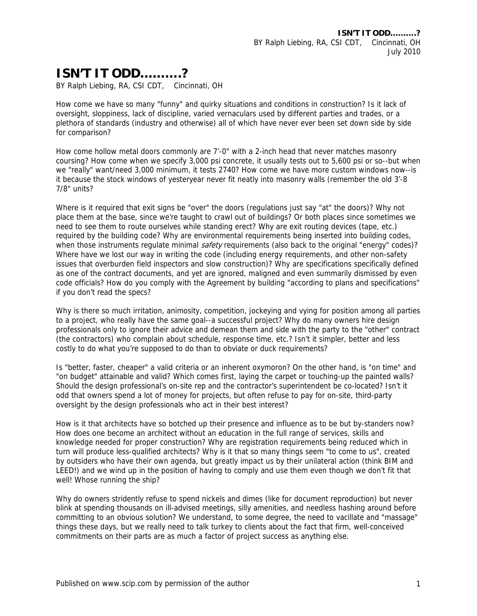## **ISN'T IT ODD……….?**

BY Ralph Liebing, RA, CSI CDT, Cincinnati, OH

How come we have so many "funny" and quirky situations and conditions in construction? Is it lack of oversight, sloppiness, lack of discipline, varied vernaculars used by different parties and trades, or a plethora of standards (industry and otherwise) all of which have never ever been set down side by side for comparison?

How come hollow metal doors commonly are 7'-0" with a 2-inch head that never matches masonry coursing? How come when we specify 3,000 psi concrete, it usually tests out to 5,600 psi or so--but when we "really" want/need 3,000 minimum, it tests 2740? How come we have more custom windows now--is it because the stock windows of yesteryear never fit neatly into masonry walls (remember the old 3'-8 7/8" units?

Where is it required that exit signs be "over" the doors (regulations just say "at" the doors)? Why not place them at the base, since we're taught to crawl out of buildings? Or both places since sometimes we need to see them to route ourselves while standing erect? Why are exit routing devices (tape, etc.) required by the building code? Why are environmental requirements being inserted into building codes, when those instruments regulate minimal *safety* requirements (also back to the original "energy" codes)? Where have we lost our way in writing the code (including energy requirements, and other non-safety issues that overburden field inspectors and slow construction)? Why are specifications specifically defined as one of the contract documents, and yet are ignored, maligned and even summarily dismissed by even code officials? How do you comply with the Agreement by building "according to plans and specifications" if you don't read the specs?

Why is there so much irritation, animosity, competition, jockeying and vying for position among all parties to a project, who really have the same goal--a successful project? Why do many owners hire design professionals only to ignore their advice and demean them and side with the party to the "other" contract (the contractors) who complain about schedule, response time, etc.? Isn't it simpler, better and less costly to do what you're supposed to do than to obviate or duck requirements?

Is "better, faster, cheaper" a valid criteria or an inherent oxymoron? On the other hand, is "on time" and "on budget" attainable and valid? Which comes first, laying the carpet or touching-up the painted walls? Should the design professional's on-site rep and the contractor's superintendent be co-located? Isn't it odd that owners spend a lot of money for projects, but often refuse to pay for on-site, third-party oversight by the design professionals who act in their best interest?

How is it that architects have so botched up their presence and influence as to be but by-standers now? How does one become an architect without an education in the full range of services, skills and knowledge needed for proper construction? Why are registration requirements being reduced which in turn will produce less-qualified architects? Why is it that so many things seem "to come to us", created by outsiders who have their own agenda, but greatly impact us by their unilateral action (think BIM and LEED!) and we wind up in the position of having to comply and use them even though we don't fit that well! Whose running the ship?

Why do owners stridently refuse to spend nickels and dimes (like for document reproduction) but never blink at spending thousands on ill-advised meetings, silly amenities, and needless hashing around before committing to an obvious solution? We understand, to some degree, the need to vacillate and "massage" things these days, but we really need to talk turkey to clients about the fact that firm, well-conceived commitments on their parts are as much a factor of project success as anything else.